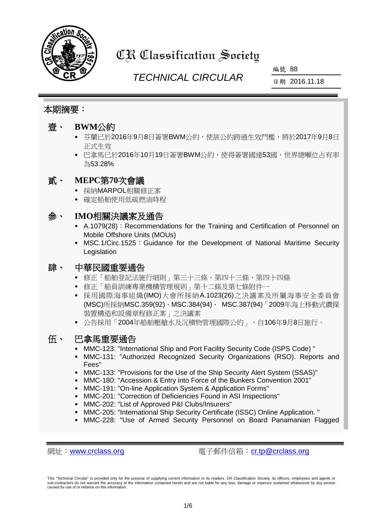

# CR Classification Society

## *TECHNICAL CIRCULAR*

編號 88

日期 2016.11.18

## 本期摘要:

## 壹、 **BWM**公約

- 芬蘭已於2016年9月8日簽署BWM公約,使該公約跨過生效門檻,將於2017年9月8日 正式生效
- 巴拿馬已於2016年10月19日簽署BWM公約,使得簽署國達53國,世界總噸位占有率 為53.28%

## 貳、 **MEPC**第**70**次會議

- 採納MARPOL相關修正案
- 確定船舶使用低硫燃油時程

## 參、 **IMO**相關決議案及通告

- A.1079(28): Recommendations for the Training and Certification of Personnel on Mobile Offshore Units (MOUs)
- MSC.1/Circ.1525: Guidance for the Development of National Maritime Security Legislation

## 肆、 中華民國重要通告

- 修正「船舶登記法施行細則」第三十三條、第四十三條、第四十四條
- 修正「船員訓練專業機構管理規則」第十二條及第七條附件一
- 採用國際海事組織(IMO)大會所採納A.1023(26)之決議案及所屬海事安全委員會 (MSC)所採納MSC.359(92)、MSC.384(94)、 MSC.387(94)「2009年海上移動式鑽探 裝置構造和設備章程修正案」之決議案
- 公告採用「2004年船舶壓艙水及沉積物管理國際公約」,自106年9月8日施行。

## 伍、 巴拿馬重要通告

- MMC-123: "International Ship and Port Facility Security Code (ISPS Code) "
- MMC-131: "Authorized Recognized Security Organizations (RSO). Reports and Fees"
- MMC-133: "Provisions for the Use of the Ship Security Alert System (SSAS)"
- MMC-180: "Accession & Entry into Force of the Bunkers Convention 2001"
- MMC-191: "On-line Application System & Application Forms"
- MMC-201: "Correction of Deficiencies Found in ASI Inspections"
- MMC-202: "List of Approved P&I Clubs/Insurers"
- MMC-205: "International Ship Security Certificate (ISSC) Online Application. "
- MMC-228: "Use of Armed Security Personnel on Board Panamanian Flagged

網址:[www.crclass.org](http://www.crclass.org/) 電子郵件信箱:[cr.tp@crclass.org](mailto:cr.tp@crclass.org)

This "Technical Circular" is provided only for the purpose of supplying current information to its readers. CR Classification Society, its officers, employees and agents or<br>sub-contractors do not warrant the accuracy of th caused by use of or reliance on this information.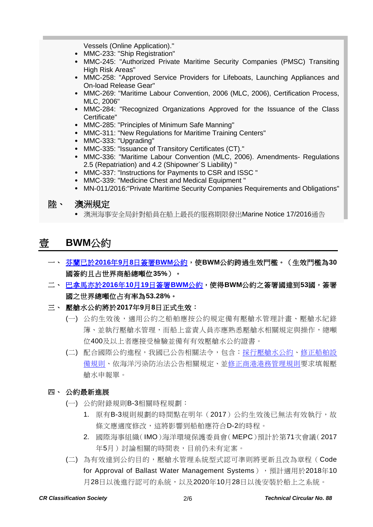Vessels (Online Application)."

- MMC-233: "Ship Registration"
- MMC-245: "Authorized Private Maritime Security Companies (PMSC) Transiting High Risk Areas"
- MMC-258: "Approved Service Providers for Lifeboats, Launching Appliances and On-load Release Gear"
- MMC-269: "Maritime Labour Convention, 2006 (MLC, 2006), Certification Process, MLC, 2006"
- MMC-284: "Recognized Organizations Approved for the Issuance of the Class Certificate"
- MMC-285: "Principles of Minimum Safe Manning"
- MMC-311: "New Regulations for Maritime Training Centers"
- MMC-333: "Upgrading"
- MMC-335: "Issuance of Transitory Certificates (CT)."
- MMC-336: "Maritime Labour Convention (MLC, 2006). Amendments- Regulations 2.5 (Repatriation) and 4.2 (Shipowner´S Liability) "
- MMC-337: "Instructions for Payments to CSR and ISSC "
- MMC-339: "Medicine Chest and Medical Equipment "
- MN-011/2016:"Private Maritime Security Companies Requirements and Obligations"

#### 陸、 澳洲規定

澳洲海事安全局針對船員在船上最長的服務期限發出Marine Notice 17/2016通告

## 壹 **BWM**公約

- 一、 [芬蘭已於](https://www.crclass.org/chinese/download/ti-tc/88/1-1%20Global_treaty_to_halt_invasive_aquatic_species_to_enter_into_force_in_2017.pdf)**2016**年**9**月**8**日簽署**BWM**公約,使**BWM**公約跨過生效門檻。(生效門檻為**30** 國簽約且占世界商船總噸位**35%**)。
- 二、 [巴拿馬亦於](https://www.crclass.org/chinese/download/ti-tc/88/1-2%20Panama_accedes_to_global_treaty_to_halt_invasive_aquatic_species.pdf)**2016**年**10**月**19**日簽署**BWM**公約,使得**BWM**公約之簽署國達到**53**國,簽署 國之世界總噸位占有率為**53.28%**。
- 三、 壓艙水公約將於**2017**年**9**月**8**日正式生效:
	- (一) 公約生效後,適用公約之船舶應按公約規定備有壓艙水管理計畫、壓艙水紀錄 簿、並執行壓艙水管理,而船上當責人員亦應熟悉壓艙水相關規定與操作,總噸 位400及以上者應接受檢驗並備有有效壓艙水公約證書。
	- (二) 配合國際公約進程,我國已公告相關法令,包含[:採行壓艙水公約、](https://www.motc.gov.tw/ch/home.jsp?id=1102&parentpath=0%2C2%2C838&mcustomize=onemessages_view.jsp&dataserno=201610070003&aplistdn=ou=data,ou=bussiness,ou=chinese,ou=ap_root,o=motc,c=tw&toolsflag=Y&imgfolder=img%2Fstandard)[修正船舶設](http://odmdoc.motc.gov.tw/IFDEWebBBS_MOTC/ExternalBBS.aspx?ThirdDocId=104RD06202) [備規則、](http://odmdoc.motc.gov.tw/IFDEWebBBS_MOTC/ExternalBBS.aspx?ThirdDocId=104RD06202)依海洋污染防治法公告相關規定、[並修正商港港務管理規則要](http://odmdoc.motc.gov.tw/IFDEWebBBS_MOTC/ExternalBBS.aspx?ThirdDocId=104RD06220)求填報壓 艙水申報單。

#### 四、 公約最新進展

- (一) 公約附錄規則B-3相關時程規劃:
	- 1. 原有B-3規則規劃的時間點在明年(2017)公約生效後已無法有效執行,故 條文應適度修改,這將影響到船舶應符合D-2的時程。
	- 2. 國際海事組織(IMO)海洋環境保護委員會(MEPC)預計於第71次會議(2017 年5月)討論相關的時間表,目前仍未有定案。
- (二) 為有效達到公約目的,壓艙水管理系統型式認可準則將更新且改為章程(Code for Approval of Ballast Water Management Systems), 預計適用於2018年10 月28日以後進行認可的系統,以及2020年10月28日以後安裝於船上之系統。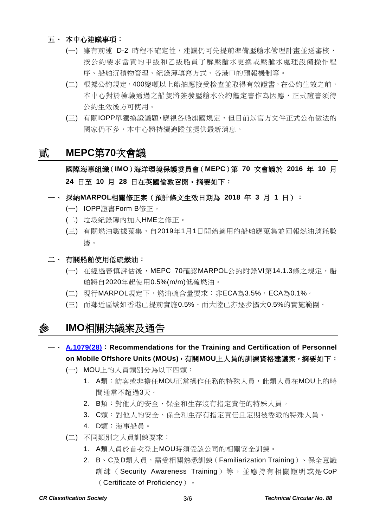#### 五、 本中心建議事項:

- (一) 雖有前述 D-2 時程不確定性,建議仍可先提前準備壓艙水管理計畫並送審核, 按公約要求當責的甲級和乙級船員了解壓艙水更換或壓艙水處理設備操作程 序、船舶沉積物管理、紀錄簿填寫方式、各港口的預報機制等。
- (二) 根據公約規定,400總噸以上船舶應接受檢查並取得有效證書,在公約生效之前, 本中心對於檢驗通過之船隻將簽發壓艙水公約鑑定書作為因應,正式證書須待 公約生效後方可使用。
- (三) 有關IOPP單獨換證議題,應視各船旗國規定,但目前以官方文件正式公布做法的 國家仍不多,本中心將持續追蹤並提供最新消息。

## 貳 **MEPC**第**70**次會議

國際海事組織(**IMO**)海洋環境保護委員會(**MEPC**)第 **70** 次會議於 **2016** 年 **10** 月 **24** 日至 **10** 月 **28** 日在英國倫敦召開。摘要如下:

一、 採納**MARPOL**相關修正案(預計條文生效日期為 **2018** 年 **3** 月 **1** 日):

- (一) IOPP證書Form B修正。
- (二) 垃圾紀錄簿內加入HME之修正。
- (三) 有關燃油數據蒐集,自2019年1月1日開始適用的船舶應蒐集並回報燃油消耗數 據。

#### 二、 有關船舶使用低硫燃油:

- (一) 存經過審慎評估後,MEPC 70確認MARPOL公約附錄VI第14.1.3條之規定,船 舶將自2020年起使用0.5%(m/m)低硫燃油。
- (二) 現行MARPOL規定下,燃油硫含量要求:非ECA為3.5%,ECA為0.1%。
- (三) 而鄰近區域如香港已提前實施0.5%、而大陸已亦逐步擴大0.5%的實施範圍。

### 參 **IMO**相關決議案及通告

- 一、 **[A.1079\(28\)](https://www.crclass.org/chinese/download/ti-tc/88/3-1%20A%2028-Res.1079%20-%20Adopted%20on%204%20December%202013%20(Agenda%20item%2010)%20(Secretariat)%20(1).pdf)**:**Recommendations for the Training and Certification of Personnel on Mobile Offshore Units (MOUs)**,有關**MOU**上人員的訓練資格建議案,摘要如下:
	- (一) MOU上的人員類別分為以下四類:
		- 1. A類: 訪客或非擔任MOU正常操作任務的特殊人員, 此類人員在MOU上的時 間通常不超過3天。
		- 2. B類:對他人的安全、保全和生存沒有指定責任的特殊人員。
		- 3. C類:對他人的安全、保全和生存有指定責任且定期被委派的特殊人員。
		- 4. D類:海事船員。
	- (二) 不同類別之人員訓練要求:
		- 1. A類人員於首次登上MOU時須受該公司的相關安全訓練。
		- 2. B、C及D類人員,需受相關熟悉訓練 (Familiarization Training)、保全意識 訓練 ( Security Awareness Training ) 等, 並應持有相關證明或是 CoP (Certificate of Proficiency)。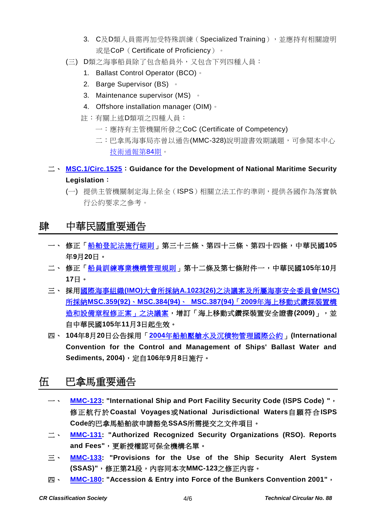- 3. C及D類人員需再加受特殊訓練(Specialized Training),並應持有相關證明 或是CoP ( Certificate of Proficiency ) 。
- (三) D類之海事船員除了包含船員外,又包含下列四種人員:
	- 1. Ballast Control Operator (BCO) 。
	- 2. Barge Supervisor (BS) 。
	- 3. Maintenance supervisor (MS) 。
	- 4. Offshore installation manager (OIM)。
	- 註:有關上述D類項之四種人員:
		- 一:應持有主管機關所發之CoC (Certificate of Competency)
		- 二:巴拿馬海事局亦曾以通告(MMC-328)說明證書效期議題,可參閱本中心 [技術通報第](https://www.crclass.org/chinese/download/ti-tc/84/84.pdf)84期。
- 二、 **[MSC.1/Circ.1525](https://www.crclass.org/chinese/download/ti-tc/88/3-2%20MSC.1-Circ.1525%20-%20Guidance%20For%20The%20Development%20Of%20National%20Maritime%20Security%20Legislation%20(Secretariat).pdf)**:**Guidance for the Development of National Maritime Security Legislation**:
	- (一) 提供主管機關制定海上保全(ISPS)相關立法工作的準則,提供各國作為落實執 行公約要求之參考。

## 肆 中華民國重要通告

- 一、 修正[「船舶登記法施行細則」](http://odmdoc.motc.gov.tw/IFDEWebBBS_MOTC/ExternalBBS.aspx?ThirdDocId=105RD04411)第三十三條、第四十三條、第四十四條,中華民國**105** 年**9**月**20**日。
- 二、 修正[「船員訓練專業機構管理規則」](http://odmdoc.motc.gov.tw/IFDEWebBBS_MOTC/ExternalBBS.aspx?ThirdDocId=105RD04756)第十二條及第七條附件一,中華民國**105**年**10**月 **17**日。
- 三、 採用國際海事組織**(IMO)**大會所採納**A.1023(26)**[之決議案及所屬海事安全委員會](https://gazette.nat.gov.tw/egFront/detail.do?metaid=86985&log=detailLog)**(MSC)** 所採納**MSC.359(92)**、**MSC.384(94)**、 **MSC.387(94)**「**2009**[年海上移動式鑽探裝置構](https://gazette.nat.gov.tw/egFront/detail.do?metaid=86985&log=detailLog) [造和設備章程修正案」之決議案,](https://gazette.nat.gov.tw/egFront/detail.do?metaid=86985&log=detailLog)增訂「海上移動式鑽探裝置安全證書**(2009)**」,並 自中華民國**105**年**11**月**3**日起生效。
- 四、 **104**年**8**月**20**日公告採用「**2004**[年船舶壓艙水及沉積物管理國際公約」](http://odmdoc.motc.gov.tw/IFDEWebBBS_MOTC/ExternalBBS.aspx?ThirdDocId=105RD05220)**(International Convention for the Control and Management of Ships' Ballast Water and Sediments, 2004)**,定自**106**年**9**月**8**日施行。

## 伍 巴拿馬重要通告

- 一、 **[MMC-123:](https://www.crclass.org/chinese/download/ti-tc/88/5-1%20MMC-123-september-2016.pdf) "International Ship and Port Facility Security Code (ISPS Code) "**, 修正航行於 **Coastal Voyages**或**National Jurisdictional Waters**自願符合**ISPS Code**的巴拿馬船舶欲申請豁免**SSAS**所需提交之文件項目。
- 二、 **[MMC-131:](https://www.crclass.org/chinese/download/ti-tc/88/5-2%20MMC-131-06-OCTOBER-2016.pdf) "Authorized Recognized Security Organizations (RSO). Reports and Fees"**,更新授權認可保全機構名單。
- 三、 **[MMC-133:](https://www.crclass.org/chinese/download/ti-tc/88/5-3%20MMC-133-sept-2016.pdf) "Provisions for the Use of the Ship Security Alert System (SSAS)"**,修正第**21**段,內容同本次**MMC-123**之修正內容。
- 四、 **[MMC-180:](https://www.crclass.org/chinese/download/ti-tc/88/5-4%20MMC-180-Accession-Entry-into-force-of-the-Bunkers-Convention-2001-August-20161.pdf) "Accession & Entry into Force of the Bunkers Convention 2001"**,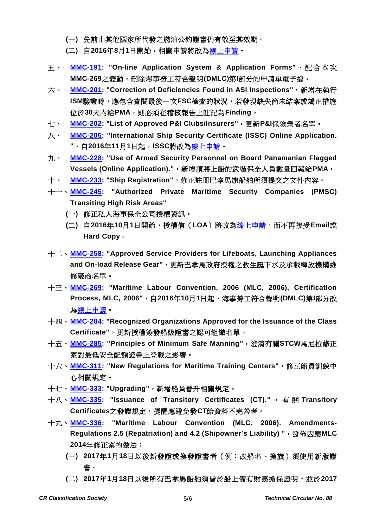- **(**一**)** 先前由其他國家所代發之燃油公約證書仍有效至其效期。
- **(**二**)** 自**2016**年**8**月**1**日開始,相關申請將改[為線上申請。](http://certificates.amp.gob.pa/certificates/)
- 五、 **[MMC-191:](https://www.crclass.org/chinese/download/ti-tc/88/5-5%20MMC-191-Sept-2016.pdf) "On-line Application System & Application Forms"**,配合本次 **MMC-269**之變動,刪除海事勞工符合聲明**(DMLC)**第**I**部分的申請單電子擋。
- 六、 **[MMC-201:](https://www.crclass.org/chinese/download/ti-tc/88/5-6%20MMC-201-September.pdf) "Correction of Deficiencies Found in ASI Inspections"**,新增在執行 **ISM**驗證時,應包含查閱最後一次**FSC**檢查的狀況,若發現缺失尚未結案或矯正措施 位於**30**天內給**PMA**,則必須在稽核報告上註記為**Finding**。
- 七、 **[MMC-202:](https://www.crclass.org/chinese/download/ti-tc/88/5-7%20MMC-202-LIST-OF-APPROVED-PI-INSURERS-SEPTEMBER-2016.pdf) "List of Approved P&I Clubs/Insurers"**,更新**P&I**保險業者名單。
- 八、 **[MMC-205:](https://www.crclass.org/chinese/download/ti-tc/88/5-8%20MMC-205-September.pdf) "International Ship Security Certificate (ISSC) Online Application. "**,自**2016**年**11**月**1**日起,**ISSC**將改[為線上申請。](http://certificates.amp.gob.pa/certificates/)
- 九、 **[MMC-228:](https://www.crclass.org/chinese/download/ti-tc/88/5-9%20MMC-228-September-2016.pdf) "Use of Armed Security Personnel on Board Panamanian Flagged Vessels (Online Application)."**,新增須將上船的武裝保全人員數量回報給**PMA**。
- 十、 **[MMC-233:](https://www.crclass.org/chinese/download/ti-tc/88/5-10%20REV-MMC-233-September.pdf) "Ship Registration"**,修正註冊巴拿馬旗船舶所須提交之文件內容。
- 十一、**[MMC-245:](https://www.crclass.org/chinese/download/ti-tc/88/5-11MMC-245-15-09-2016.pdf) "Authorized Private Maritime Security Companies (PMSC) Transiting High Risk Areas"**
	- **(**一**)** 修正私人海事保全公司授權資訊。
	- **(**二**)** 自**2016**年**10**月**1**日開始,授權信(**LOA**)將改[為線上申請,](http://certificates.amp.gob.pa/certificates/)而不再接受**Email**或 **Hard Copy**。
- 十二、**[MMC-258:](https://www.crclass.org/chinese/download/ti-tc/88/5-12%20MMC-258-Approved-service-providers-for-lifeboats-launching-appliances-and-on-load-release-gear-22-august-2016.pdf) "Approved Service Providers for Lifeboats, Launching Appliances**  and On-load Release Gear",更新巴拿馬政府授權之救生艇下水及承載釋放機構維 修廠商名單。
- 十三、**[MMC-269:](https://www.crclass.org/chinese/download/ti-tc/88/5-13%20MMC-269-OCT-16-3.pdf) "Maritime Labour Convention, 2006 (MLC, 2006), Certification Process, MLC, 2006"**,自**2016**年**10**月**1**日起,海事勞工符合聲明**(DMLC)**第**I**部分改 [為線上申請。](http://certificates.amp.gob.pa/certificates/)
- 十四、**[MMC-284:](https://www.crclass.org/chinese/download/ti-tc/88/5-14%20MMC-284-ROs-APPROVED-FOR-ISSUANCE-OF-CLASS-CERTIFICATE-SEP-2016.pdf) "Recognized Organizations Approved for the Issuance of the Class Certificate"**,更新授權簽發船級證書之認可組織名單。
- 十五、**[MMC-285:](https://www.crclass.org/chinese/download/ti-tc/88/5-15%20MMC-285-MINIMUM-SAFE-MANNING-CERTIFICATES-August-2016.pdf) "Principles of Minimum Safe Manning"**,澄清有關**STCW**馬尼拉修正 案對最低安全配額證書上登載之影響。
- 十六、**[MMC-311:](https://www.crclass.org/chinese/download/ti-tc/88/5-16%20MMC-311-final.pdf) "New Regulations for Maritime Training Centers"**,修正船員訓練中 心相關規定。
- 十七、**[MMC-333:](https://www.crclass.org/chinese/download/ti-tc/88/5-17%20MMC-333-AUGUST-01-2016-NEW%20(1).pdf) "Upgrading"**,新增船員晉升相關規定。
- 十八、**[MMC-335:](https://www.crclass.org/chinese/download/ti-tc/88/5-18%20MMC-335-August-2016.pdf) "Issuance of Transitory Certificates (CT)."** ,有關 **Transitory Certificates**之發證規定,提醒應避免發**CT**給資料不完善者。
- 十九、**[MMC-336:](https://www.crclass.org/chinese/download/ti-tc/88/5-19%20MMC-336-MLC-16-october.pdf) "Maritime Labour Convention (MLC, 2006). Amendments-Regulations 2.5 (Repatriation) and 4.2 (Shipowner's Liability) "**,發佈因應**MLC 2014**年修正案的做法:
	- **(**一**) 2017**年**1**月**18**日以後新發證或換發證書者(例:改船名、換旗)須使用新版證 書。
	- **(**二**) 2017**年**1**月**18**日以後所有巴拿馬船舶須皆於船上備有財務擔保證明,並於**2017**